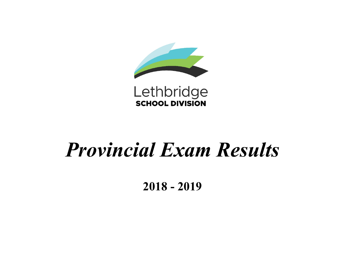



# *Provincial Exam Results*

**2018 - 2019**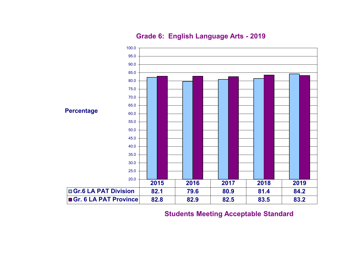

### **Grade 6: English Language Arts - 2019**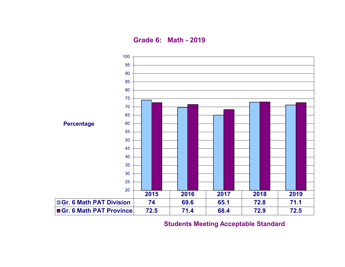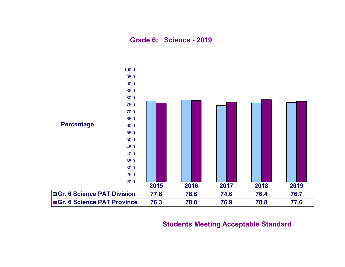**Grade 6: Science - 2019**

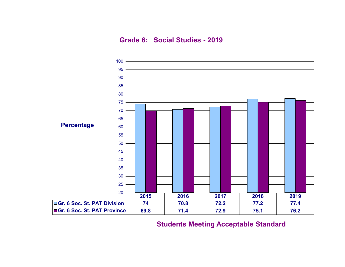**Grade 6: Social Studies - 2019**

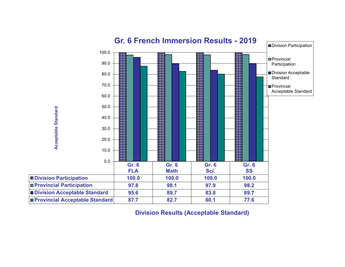

**Division Results (Acceptable Standard)**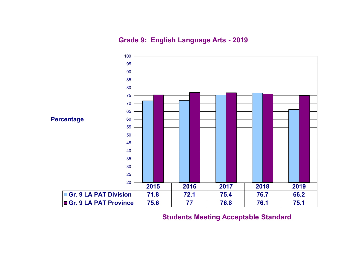**Grade 9: English Language Arts - 2019**

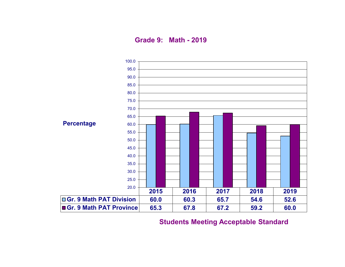**Grade 9: Math - 2019**

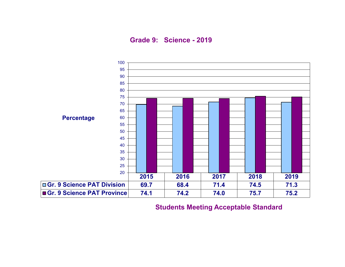**Grade 9: Science - 2019**

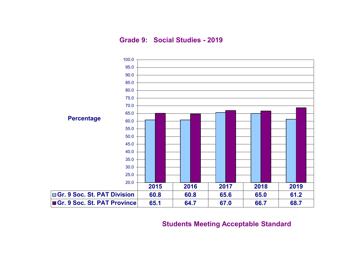**Grade 9: Social Studies - 2019**

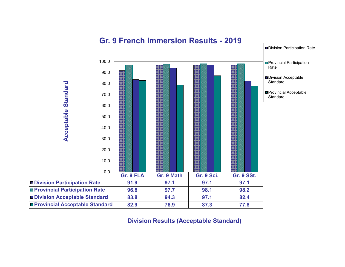

## **Gr. 9 French Immersion Results - 2019**

**Division Results (Acceptable Standard)**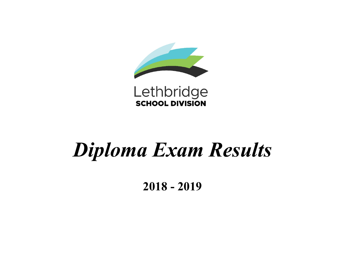



# *Diploma Exam Results*

**2018 - 2019**